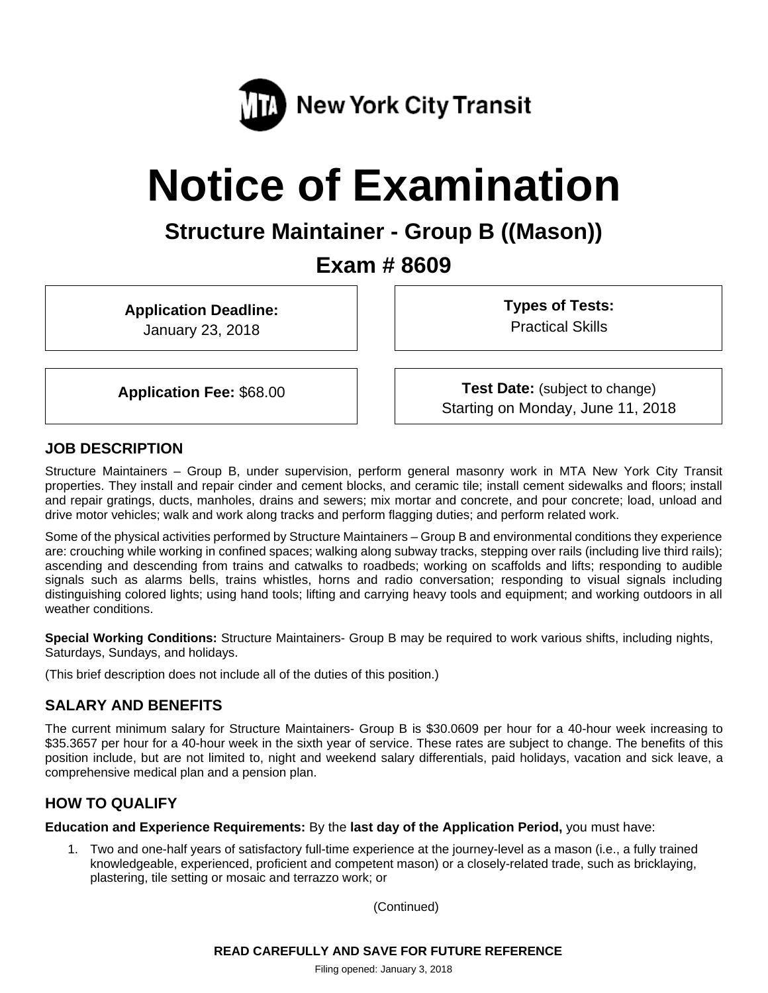

# **Notice of Examination**

# **Structure Maintainer - Group B ((Mason))**

# **Exam # 8609**

**Application Deadline:** 

January 23, 2018

**Types of Tests:**  Practical Skills

**Application Fee:** \$68.00 **Test Date:** (subject to change) Starting on Monday, June 11, 2018

# **JOB DESCRIPTION**

Structure Maintainers – Group B, under supervision, perform general masonry work in MTA New York City Transit properties. They install and repair cinder and cement blocks, and ceramic tile; install cement sidewalks and floors; install and repair gratings, ducts, manholes, drains and sewers; mix mortar and concrete, and pour concrete; load, unload and drive motor vehicles; walk and work along tracks and perform flagging duties; and perform related work.

Some of the physical activities performed by Structure Maintainers – Group B and environmental conditions they experience are: crouching while working in confined spaces; walking along subway tracks, stepping over rails (including live third rails); ascending and descending from trains and catwalks to roadbeds; working on scaffolds and lifts; responding to audible signals such as alarms bells, trains whistles, horns and radio conversation; responding to visual signals including distinguishing colored lights; using hand tools; lifting and carrying heavy tools and equipment; and working outdoors in all weather conditions.

**Special Working Conditions:** Structure Maintainers- Group B may be required to work various shifts, including nights, Saturdays, Sundays, and holidays.

(This brief description does not include all of the duties of this position.)

# **SALARY AND BENEFITS**

The current minimum salary for Structure Maintainers- Group B is \$30.0609 per hour for a 40-hour week increasing to \$35.3657 per hour for a 40-hour week in the sixth year of service. These rates are subject to change. The benefits of this position include, but are not limited to, night and weekend salary differentials, paid holidays, vacation and sick leave, a comprehensive medical plan and a pension plan.

# **HOW TO QUALIFY**

**Education and Experience Requirements:** By the **last day of the Application Period,** you must have:

1. Two and one-half years of satisfactory full-time experience at the journey-level as a mason (i.e., a fully trained knowledgeable, experienced, proficient and competent mason) or a closely-related trade, such as bricklaying, plastering, tile setting or mosaic and terrazzo work; or

(Continued)

**READ CAREFULLY AND SAVE FOR FUTURE REFERENCE** 

Filing opened: January 3, 2018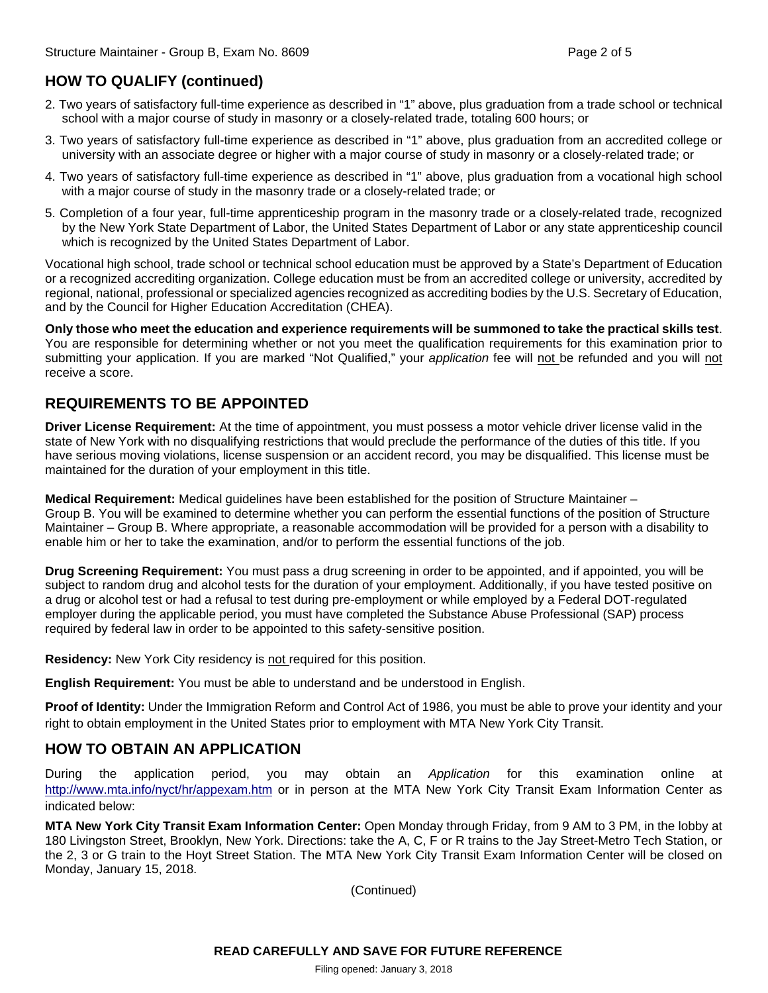# **HOW TO QUALIFY (continued)**

- 2. Two years of satisfactory full-time experience as described in "1" above, plus graduation from a trade school or technical school with a major course of study in masonry or a closely-related trade, totaling 600 hours; or
- 3. Two years of satisfactory full-time experience as described in "1" above, plus graduation from an accredited college or university with an associate degree or higher with a major course of study in masonry or a closely-related trade; or
- 4. Two years of satisfactory full-time experience as described in "1" above, plus graduation from a vocational high school with a major course of study in the masonry trade or a closely-related trade; or
- 5. Completion of a four year, full-time apprenticeship program in the masonry trade or a closely-related trade, recognized by the New York State Department of Labor, the United States Department of Labor or any state apprenticeship council which is recognized by the United States Department of Labor.

Vocational high school, trade school or technical school education must be approved by a State's Department of Education or a recognized accrediting organization. College education must be from an accredited college or university, accredited by regional, national, professional or specialized agencies recognized as accrediting bodies by the U.S. Secretary of Education, and by the Council for Higher Education Accreditation (CHEA).

**Only those who meet the education and experience requirements will be summoned to take the practical skills test**. You are responsible for determining whether or not you meet the qualification requirements for this examination prior to submitting your application. If you are marked "Not Qualified," your *application* fee will not be refunded and you will not receive a score.

# **REQUIREMENTS TO BE APPOINTED**

**Driver License Requirement:** At the time of appointment, you must possess a motor vehicle driver license valid in the state of New York with no disqualifying restrictions that would preclude the performance of the duties of this title. If you have serious moving violations, license suspension or an accident record, you may be disqualified. This license must be maintained for the duration of your employment in this title.

**Medical Requirement:** Medical guidelines have been established for the position of Structure Maintainer – Group B. You will be examined to determine whether you can perform the essential functions of the position of Structure Maintainer – Group B. Where appropriate, a reasonable accommodation will be provided for a person with a disability to enable him or her to take the examination, and/or to perform the essential functions of the job.

**Drug Screening Requirement:** You must pass a drug screening in order to be appointed, and if appointed, you will be subject to random drug and alcohol tests for the duration of your employment. Additionally, if you have tested positive on a drug or alcohol test or had a refusal to test during pre-employment or while employed by a Federal DOT-regulated employer during the applicable period, you must have completed the Substance Abuse Professional (SAP) process required by federal law in order to be appointed to this safety-sensitive position.

**Residency:** New York City residency is not required for this position.

**English Requirement:** You must be able to understand and be understood in English.

**Proof of Identity:** Under the Immigration Reform and Control Act of 1986, you must be able to prove your identity and your right to obtain employment in the United States prior to employment with MTA New York City Transit.

# **HOW TO OBTAIN AN APPLICATION**

During the application period, you may obtain an *Application* for this examination online at http://www.mta.info/nyct/hr/appexam.htm or in person at the MTA New York City Transit Exam Information Center as indicated below:

**MTA New York City Transit Exam Information Center:** Open Monday through Friday, from 9 AM to 3 PM, in the lobby at 180 Livingston Street, Brooklyn, New York. Directions: take the A, C, F or R trains to the Jay Street-Metro Tech Station, or the 2, 3 or G train to the Hoyt Street Station. The MTA New York City Transit Exam Information Center will be closed on Monday, January 15, 2018.

(Continued)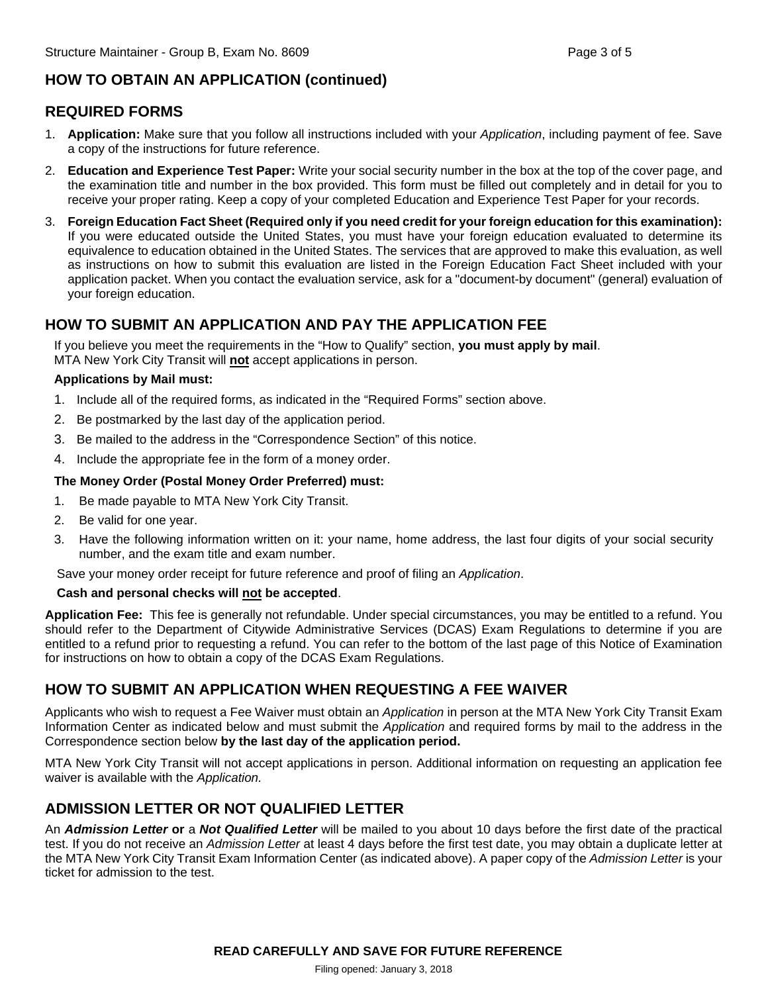# **HOW TO OBTAIN AN APPLICATION (continued)**

# **REQUIRED FORMS**

- 1. **Application:** Make sure that you follow all instructions included with your *Application*, including payment of fee. Save a copy of the instructions for future reference.
- 2. **Education and Experience Test Paper:** Write your social security number in the box at the top of the cover page, and the examination title and number in the box provided. This form must be filled out completely and in detail for you to receive your proper rating. Keep a copy of your completed Education and Experience Test Paper for your records.
- 3. **Foreign Education Fact Sheet (Required only if you need credit for your foreign education for this examination):**  If you were educated outside the United States, you must have your foreign education evaluated to determine its equivalence to education obtained in the United States. The services that are approved to make this evaluation, as well as instructions on how to submit this evaluation are listed in the Foreign Education Fact Sheet included with your application packet. When you contact the evaluation service, ask for a "document-by document" (general) evaluation of your foreign education.

# **HOW TO SUBMIT AN APPLICATION AND PAY THE APPLICATION FEE**

If you believe you meet the requirements in the "How to Qualify" section, **you must apply by mail**. MTA New York City Transit will **not** accept applications in person.

#### **Applications by Mail must:**

- 1. Include all of the required forms, as indicated in the "Required Forms" section above.
- 2. Be postmarked by the last day of the application period.
- 3. Be mailed to the address in the "Correspondence Section" of this notice.
- 4. Include the appropriate fee in the form of a money order.

#### **The Money Order (Postal Money Order Preferred) must:**

- 1. Be made payable to MTA New York City Transit.
- 2. Be valid for one year.
- 3. Have the following information written on it: your name, home address, the last four digits of your social security number, and the exam title and exam number.

Save your money order receipt for future reference and proof of filing an *Application*.

#### **Cash and personal checks will not be accepted**.

**Application Fee:** This fee is generally not refundable. Under special circumstances, you may be entitled to a refund. You should refer to the Department of Citywide Administrative Services (DCAS) Exam Regulations to determine if you are entitled to a refund prior to requesting a refund. You can refer to the bottom of the last page of this Notice of Examination for instructions on how to obtain a copy of the DCAS Exam Regulations.

# **HOW TO SUBMIT AN APPLICATION WHEN REQUESTING A FEE WAIVER**

Applicants who wish to request a Fee Waiver must obtain an *Application* in person at the MTA New York City Transit Exam Information Center as indicated below and must submit the *Application* and required forms by mail to the address in the Correspondence section below **by the last day of the application period.**

MTA New York City Transit will not accept applications in person. Additional information on requesting an application fee waiver is available with the *Application.* 

# **ADMISSION LETTER OR NOT QUALIFIED LETTER**

An *Admission Letter* **or** a *Not Qualified Letter* will be mailed to you about 10 days before the first date of the practical test. If you do not receive an *Admission Letter* at least 4 days before the first test date, you may obtain a duplicate letter at the MTA New York City Transit Exam Information Center (as indicated above). A paper copy of the *Admission Letter* is your ticket for admission to the test.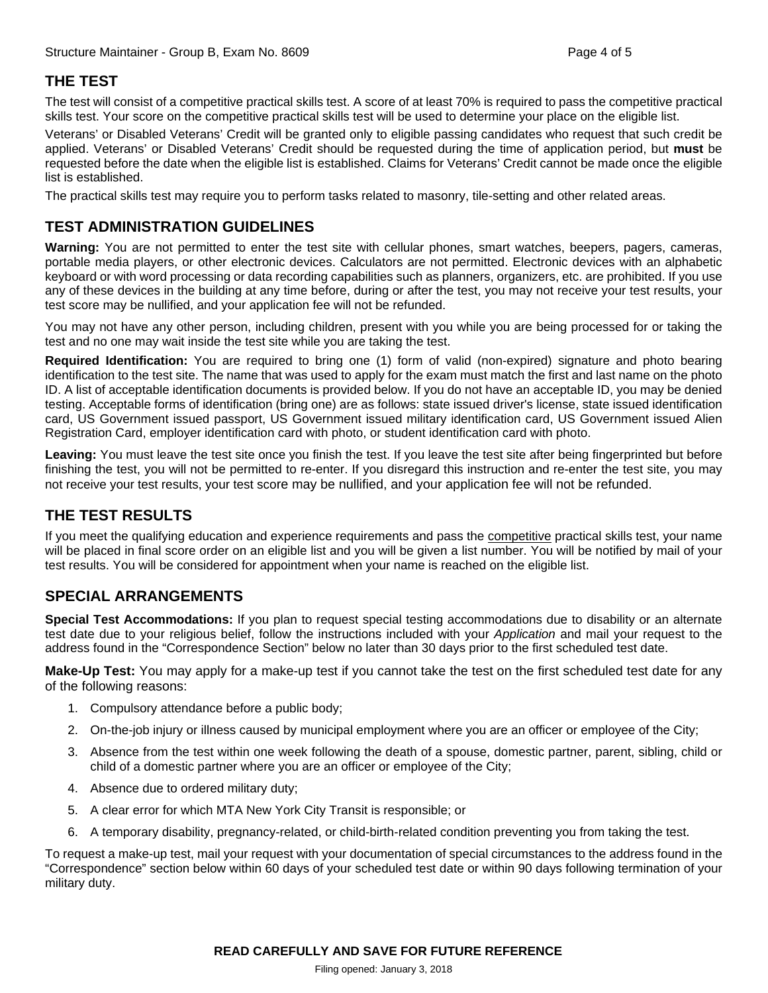# **THE TEST**

The test will consist of a competitive practical skills test. A score of at least 70% is required to pass the competitive practical skills test. Your score on the competitive practical skills test will be used to determine your place on the eligible list.

Veterans' or Disabled Veterans' Credit will be granted only to eligible passing candidates who request that such credit be applied. Veterans' or Disabled Veterans' Credit should be requested during the time of application period, but **must** be requested before the date when the eligible list is established. Claims for Veterans' Credit cannot be made once the eligible list is established.

The practical skills test may require you to perform tasks related to masonry, tile-setting and other related areas.

## **TEST ADMINISTRATION GUIDELINES**

**Warning:** You are not permitted to enter the test site with cellular phones, smart watches, beepers, pagers, cameras, portable media players, or other electronic devices. Calculators are not permitted. Electronic devices with an alphabetic keyboard or with word processing or data recording capabilities such as planners, organizers, etc. are prohibited. If you use any of these devices in the building at any time before, during or after the test, you may not receive your test results, your test score may be nullified, and your application fee will not be refunded.

You may not have any other person, including children, present with you while you are being processed for or taking the test and no one may wait inside the test site while you are taking the test.

**Required Identification:** You are required to bring one (1) form of valid (non-expired) signature and photo bearing identification to the test site. The name that was used to apply for the exam must match the first and last name on the photo ID. A list of acceptable identification documents is provided below. If you do not have an acceptable ID, you may be denied testing. Acceptable forms of identification (bring one) are as follows: state issued driver's license, state issued identification card, US Government issued passport, US Government issued military identification card, US Government issued Alien Registration Card, employer identification card with photo, or student identification card with photo.

**Leaving:** You must leave the test site once you finish the test. If you leave the test site after being fingerprinted but before finishing the test, you will not be permitted to re-enter. If you disregard this instruction and re-enter the test site, you may not receive your test results, your test score may be nullified, and your application fee will not be refunded.

# **THE TEST RESULTS**

If you meet the qualifying education and experience requirements and pass the competitive practical skills test, your name will be placed in final score order on an eligible list and you will be given a list number. You will be notified by mail of your test results. You will be considered for appointment when your name is reached on the eligible list.

#### **SPECIAL ARRANGEMENTS**

**Special Test Accommodations:** If you plan to request special testing accommodations due to disability or an alternate test date due to your religious belief, follow the instructions included with your *Application* and mail your request to the address found in the "Correspondence Section" below no later than 30 days prior to the first scheduled test date.

**Make-Up Test:** You may apply for a make-up test if you cannot take the test on the first scheduled test date for any of the following reasons:

- 1. Compulsory attendance before a public body;
- 2. On-the-job injury or illness caused by municipal employment where you are an officer or employee of the City;
- 3. Absence from the test within one week following the death of a spouse, domestic partner, parent, sibling, child or child of a domestic partner where you are an officer or employee of the City;
- 4. Absence due to ordered military duty;
- 5. A clear error for which MTA New York City Transit is responsible; or
- 6. A temporary disability, pregnancy-related, or child-birth-related condition preventing you from taking the test.

To request a make-up test, mail your request with your documentation of special circumstances to the address found in the "Correspondence" section below within 60 days of your scheduled test date or within 90 days following termination of your military duty.